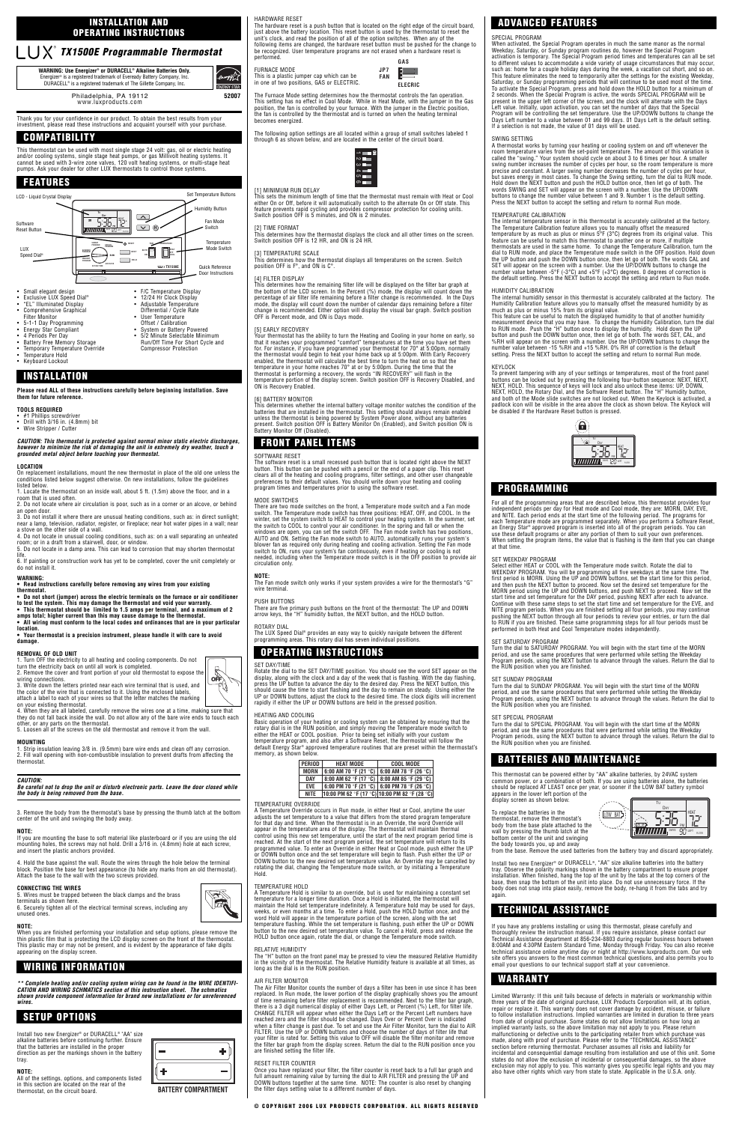

Thank you for your confidence in our product. To obtain the best results from your investment, please read these instructions and acquaint yourself with your purchase.

This thermostat can be used with most single stage 24 volt: gas, oil or electric heating<br>and/or cooling systems, single stage heat pumps, or gas Millivolt heating systems. It<br>cannot be used with 3-wire zone valves, 120 vol pumps. Ask your dealer for other LUX thermostats to control those systems.

- 
- #1 Phillips screwdriver Drill with 3/16 in. (4.8mm) bit Wire Stripper / Cutter

#### **Please read ALL of these instructions carefully before beginning installation. Save them for future reference.**

## **TOOLS REQUIRED**

## **CAUTION: This thermostat is protected against normal minor static electric discharges, however to minimize the risk of damaging the unit in extremely dry weather, touch a grounded metal object before touching your thermostat.**

#### **LOCATION**

On replacement installations, mount the new thermostat in place of the old one unless the conditions listed below suggest otherwise. On new installations, follow the guidelines

listed below. 1. Locate the thermostat on an inside wall, about 5 ft. (1.5m) above the floor, and in a room that is used often.

2. Do not locate where air circulation is poor, such as in a corner or an alcove, or behind an open door.

3. Do not install it where there are unusual heating conditions, such as: in direct sunlight; near a lamp, television, radiator, register, or fireplace; near hot water pipes in a wall; near a stove on the other side of a wall.

4. Do not locate in unusual cooling conditions, such as: on a wall separating an unheated room; or in a draft from a stairwell, door, or window.

5. Do not locate in a damp area. This can lead to corrosion that may shorten thermostat life. 6. If painting or construction work has yet to be completed, cover the unit completely or

do not install it.

## **WARNING:**

**• Read instructions carefully before removing any wires from your existing thermostat.**

**• Do not short (jumper) across the electric terminals on the furnace or air conditioner**

**to test the system. This may damage the thermostat and void your warranty. • This thermostat should be limited to 1.5 amps per terminal, and a maximum of 2 amps total; higher current than this may cause damage to the thermostat.**

**• All wiring must conform to the local codes and ordinances that are in your particular location.**

**• Your thermostat is a precision instrument, please handle it with care to avoid damage.**

## **REMOVAL OF OLD UNIT**

1. Turn OFF the electricity to all heating and cooling components. Do not turn the electricity back on until all work is completed. 2. Remove the cover and front portion of your old thermostat to expose the

wiring connections.

3. Write down the letters printed near each wire terminal that is used, and the color of the wire that is connected to it. Using the enclosed labels, attach a label to each of your wires so that the letter matches the marking

on your existing thermostat. 4. When they are all labeled, carefully remove the wires one at a time, making sure that they do not fall back inside the wall. Do not allow any of the bare wire ends to touch each

other, or any parts on the thermostat. 5. Loosen all of the screws on the old thermostat and remove it from the wall.

## **MOUNTING**

1. Strip insulation leaving 3/8 in. (9.5mm) bare wire ends and clean off any corrosion. 2. Fill wall opening with non-combustible insulation to prevent drafts from affecting the thermostat.

## **CAUTION:**

#### **Be careful not to drop the unit or disturb electronic parts. Leave the door closed while the body is being removed from the base.**

## base by pressing the thumb latch at the botton

center of the unit and swinging the body away.

#### **NOTE:**

If you are mounting the base to soft material like plasterboard or if you are using the old mounting holes, the screws may not hold. Drill a 3/16 in. (4.8mm) hole at each screw, and insert the plastic anchors provided.

our thermostat has the ability to turn the Heating and Cooling in your home on early, so that it reaches your programmed "comfort" temperatures at the time you have set them for. For instance, if you have programmed your thermostat for 70° at 5:00pm, normally the thermostat would begin to heat your home back up at 5:00pm. With Early Recovery<br>enabled, the thermostat will calculate the best time to turn the heat on so that the<br>temperature in your home reaches 70° at or by 5:00pm. thermostat is performing a recovery, the words "IN RECOVERY" will flash in the temperature portion of the display screen. Switch position OFF is Recovery Disabled, and ON is Recovery Enabled.

4. Hold the base against the wall. Route the wires through the hole below the terminal block. Position the base for best appearance (to hide any marks from an old thermostat). Attach the base to the wall with the two screws provided.

**CONNECTING THE WIRES** 5. Wires must be trapped between the black clamps and the brass terminals as shown here.

[6] BATTERY MONITOR<br>This determines whether the internal battery voltage monitor watches the condition of the<br>batteries that are installed in the thermostat. This setting should always remain enabled<br>unless the thermostat Battery Monitor Off (Disabled).

6. Securely tighten all of the electrical terminal screws, including any unused ones.

#### **NOTE:**

SOFTWARE RESET<br>The software reset is a small recessed push button that is located right above the NFXT The software reset is a small recessed push button that is located right above the NEXT<br>button. This button can be pushed with a pencil or the end of a paper clip. This reset<br>clears all of the heating and cooling programs, program times and temperatures prior to using the software reset.

When you are finished performing your installation and setup options, please remove the thin plastic film that is protecting the LCD display screen on the front of the thermostat. This plastic may or may not be present, and is evident by the appearance of fake digits appearing on the display screen.

**\*\* Complete heating and/or cooling system wiring can be found in the WIRE IDENTIFI-CATION AND WIRING SCHMATICS section of this instruction sheet. The schmatics shown provide component information for brand new installations or for unreferenced wires.**

MODE SWITCHES<br>There are two mode switches on the front, a Temperature mode switch and a Fan mode<br>switch. The Temperature mode switch has three positions: HEAT, OFF, and COOL. In the<br>winter, set the system switch to HEAT to blower fan as required only during heating and cooling activation. Setting the Fan mode<br>switch to ON, runs your system's fan continuously, even if heating or cooling is not<br>needed, including when the Temperature mode switc circulation only.

Install two new Energizer® or DURACELL® "AA" size alkaline batteries before continuing further. Ensure that the batteries are installed in the proper direction as per the markings shown in the battery tray.

## **NOTE:**

All of the settings, options, and components listed in this section are located on the rear of the thermostat, on the circuit board.

٠ ٠

HARDWARE RESET

The hardware reset is a push button that is located on the right edge of the circuit board, just above the battery location. This reset button is used by the thermostat to reset the unit's clock, and read the position of all of the option switches. When any of the following items are changed, the hardware reset button must be pushed for the change to be recognized. User temperature programs are not erased when a hardware reset is performed.

FURNACE MODE This is a plastic jumper cap which can be in one of two positions, GAS or ELECTRIC.

The Furnace Mode setting determines how the thermostat controls the fan operation. This setting has no effect in Cool Mode. While in Heat Mode, with the jumper in the Gas position, the fan is controlled by your furnace. With the jumper in the Electric position, the fan is controlled by the thermostat and is turned on when the heating terminal becomes energized.

The following option settings are all located within a group of small switches labeled 1 through 6 as shown below, and are located in the center of the circuit board.

[1] MINIMUM RUN DELAY This sets the minimum length of time that the thermostat must remain with Heat or Cool

# either On or Off, before it will automatically switch to the alternate On or Off state. This<br>feature prevents rapid cycling and provides compressor protection for cooling units.<br>Switch position OFF is 5 minutes, and ON is

[2] TIME FORMAT This determines how the thermostat displays the clock and all other times on the screen. Switch position OFF is 12 HR, and ON is 24 HR.

## [3] TEMPERATURE SCALE

This determines how the thermostat displays all temperatures on the screen. Switch position OFF is F°, and ON is C°.

[4] FILTER DISPLAY This determines how the remaining filter life will be displayed on the filter bar graph at the bottom of the LCD screen. In the Percent (%) mode, the display will count down the percentage of air filter life remaining before a filter change is recommended. In the Days mode, the display will count down the number of calendar days remaining before a filter change is recommended. Either option will display the visual bar graph. Switch position OFF is Percent mode, and ON is Days mode.

### [5] EARLY RECOVERY

A thermostat works by turning your heating or cooling system on and off whenever the<br>room temperature varies from the set-point temperature. The amount of this variation is<br>called the "swing." Your system should cycle on a swing number increases the number of cycles per hour, so the room temperature is more<br>precise and constant. A larger swing number decreases the number of cycles per hour,<br>but saves energy in most cases. To change the Swing Hold down the NEXT button and push the HOLD button once, then let go of both. The<br>words SWING and SET will appear on the screen with a number. Use the UP/DOWN<br>buttons to change the number value between 1 and 9. Number 1 is Press the NEXT button to accept the setting and return to normal Run mode.

This feature can be useful to match the displayed humidity to that of another humidity<br>measurement device that you may have. To change the Humidity Calibration, turn the dial<br>to RUN mode. Push the "H" button once to displ button and push the DOWN button once, then let go of both. The words SET, CAL, and<br>%RH will appear on the screen with a number. Use the UP/DOWN buttons to change the<br>number value between -15 %RH and +15 %RH. 0% RH of corre setting. Press the NEXT button to accept the setting and return to normal Run mode.

#### **KEYLOCK**

To prevent tampering with any of your settings or temperatures, most of the front panel<br>buttons can be locked out by pressing the following four-button sequence: NEXT, NEXT,<br>NEXT, HOLD. This sequence of keys will lock and NEXT, HOLD, the Rotary Dial, and the Software Reset button. The "H" Humidity button,<br>and both of the Mode slide switches are not locked out. When the Keylock is activated, a<br>padlock icon will be visible in the area above t be disabled if the Hardware Reset button is pressed.

**NOTE:** The Fan mode switch only works if your system provides a wire for the thermostat's "G" wire terminal.

### PUSH BUTTONS

There are five primary push buttons on the front of the thermostat: The UP and DOWN arrow keys, the "H" humidity button, the NEXT button, and the HOLD button.

Continue with these same steps to set the start time and set temperature for the EVE, and<br>NITE program periods. When you are finished setting all four periods, you may continue<br>pushing the NEXT button through all four peri to RUN if you are finished. These same programming steps for all four periods must be performed in both Heat and Cool Temperature modes independently.

#### ROTARY DIAL

The LUX Speed Dial® provides an easy way to quickly navigate between the different programming areas. This rotary dial has seven individual positions.

SET DAY/TIME Rotate the dial to the SET DAY/TIME position. You should see the word SET appear on the display, along with the clock and a day of the week that is flashing. With the day flashing, press the UP button to advance the day to the desired day. Press the NEXT button, this should cause the time to start flashing and the day to remain on steady. Using either the UP or DOWN buttons, adjust the clock to the desired time. The clock digits will increment rapidly if either the UP or DOWN buttons are held in the pressed position.

## HEATING AND COOLING

Basic operation of your heating or cooling system can be obtained by ensuring that the<br>rotary dial is in the RUN position, and simply moving the Temperature mode switch to<br>either the HEAT or COOL position. Prior to being s memory, as sho

## TEMPERATURE OVERRIDE

lf you have any problems installing or using this thermostat, please carefully and<br>thoroughly review the instruction manual. If you require assistance, please contact our<br>Technical Assistance department at 856-234-8803 dur 8:00AM and 4:30PM Eastern Standard Time, Monday through Friday. You can also receive<br>technical assistance online anytime day or night at http://www.luxproducts.com. Our web<br>site offers you answers to the most common techni email your questions to our technical support staff at your convenience.

Limited Warranty: If this unit fails because of defects in materials or workmanship within three years of the date of original purchase, LUX Products Corporation will, at its option,<br>repair or replace it. This warranty does not cover damage by accident, misuse, or failure<br>to follow installation instructions. Imp from date of original purchase. Some states do not allow limitations on how long an<br>implied warranty lasts, so the above limitation may not apply to you. Please return<br>malfunctioning or defective units to the participating made, along with proof of purchase. Please refer to the "TECHNICAL ASSISTANCE"<br>section before returning thermostat. Purchaser assumes all risks and liability for<br>incidental and consequential damage resulting from installat states do not allow the exclusion of incidental or consequential damages, so the above<br>exclusion may not apply to you. This warranty gives you specific legal rights and you may<br>also have other rights which vary from state



 $\frac{1}{\sqrt{\frac{1}{\sqrt{1-\frac{1}{\sqrt{1-\frac{1}{\sqrt{1-\frac{1}{\sqrt{1-\frac{1}{\sqrt{1-\frac{1}{\sqrt{1-\frac{1}{\sqrt{1-\frac{1}{\sqrt{1-\frac{1}{\sqrt{1-\frac{1}{\sqrt{1-\frac{1}{\sqrt{1-\frac{1}{\sqrt{1-\frac{1}{\sqrt{1-\frac{1}{\sqrt{1-\frac{1}{\sqrt{1-\frac{1}{\sqrt{1-\frac{1}{\sqrt{1-\frac{1}{\sqrt{1-\frac{1}{\sqrt{1-\frac{1}{\sqrt{1-\frac{1}{\sqrt{1-\frac{1}{\sqrt{1-\frac{1}{\sqrt{1-\frac{1}{\$ 

A Temperature Override occurs in Run mode, in either Heat or Cool, anytime the user adjusts the set temperature to a value that differs from the stored program temperature for that day and time. When the thermostat is in an Override, the word Override will appear in the temperature area of the display. The thermostat will maintain thermal control using this new set temperature, until the start of the next program period time is reached. At the start of the next program period, the set temperature will return to its programmed value. To enter an Override in either Heat or Cool mode, push either the UP or DOWN button once and the set temperature will begin to flash. Push either the UP or DOWN button to the new desired set temperature value. An Override may be cancelled by rotating the dial, changing the Temperature mode switch, or by initiating a Temperature Hold.

### TEMPERATURE HOLD

A Temperature Hold is similar to an override, but is used for maintaining a constant set temperature for a longer time duration. Once a Hold is initiated, the thermostat will<br>maintain the Hold set temperature indefinitely. A Temperature hold may be used for days,<br>weeks, or even months at a time. To enter a Hol HOLD button once again, rotate the dial, or change the Temperature mode switch.

## RELATIVE HUMIDITY

The "H" button on the front panel may be pressed to view the measured Relative Humidity in the vicinity of the thermostat. The Relative Humidity feature is available at all times, as long as the dial is in the RUN position.

## AIR FILTER MONITOR

The Air Filter Monitor counts the number of days a filter has been in use since it has been replaced. In Run mode, the lower portion of the display graphically shows you the amount of time remaining before filter replacement is recommended. Next to the filter bar graph, there is a 3 digit numerical display of either Days Left, or Percent (%) Left, for filter life. CHANGE FILTER will appear when either the Days Left or the Percent Left numbers have reached zero and the filter should be changed. Days Over or Percent Over is indicated<br>when a filter change is past due. To set and use the Air Filter Monitor, turn the dial to AIR<br>FILTER. Use the UP or DOWN buttons and cho your filter is rated for. Setting this value to OFF will disable the filter monitor and remove the filter bar graph from the display screen. Return the dial to the RUN position once you are finished setting the filter life.

### RESET FILTER COUNTER

Once you have replaced your filter, the filter counter is reset back to a full bar graph and full amount remaining value by turning the dial to AIR FILTER and pressing the UP and DOWN buttons together at the same time. NOTE: The counter is also reset by changing the filter days setting value to a different number of days.

### SPECIAL PROGRAM

When activated, the Special Program operates in much the same manor as the normal Weekday, Saturday, or Sunday program routines do, however the Special Program<br>activation is temporary. The Special Program period times and temperatures can all be set<br>to different values to accommodate a wide variety of u such as: home for a couple holiday days during the week, a vacation cut short, and so on.<br>This feature eliminates the need to temporarily alter the settings for the existing Weekday,<br>Saturday, or Sunday programming periods To activate the Special Program, press and hold down the HOLD button for a minimum of<br>2 seconds. When the Special Program is active, the words SPECIAL PROGRAM will be<br>present in the upper left corner of the screen, and the Left value. Initially, upon activation, you can set the number of days that the Special<br>Program will be controlling the set temperature. Use the UP/DOWN buttons to change the<br>Days Left number to a value between 01 and 99 d If a selection is not made, the value of 01 days will be used.

#### SWING SETTING

### TEMPERATURE CALIBRATION

The internal temperature sensor in this thermostat is accurately calibrated at the factory.<br>The Temperature Calibration feature allows you to manually offset the measured<br>temperature by as much as plus or minus 5°F (3°C) d feature can be useful to match this thermostat to another one or more, if multiple<br>thermostats are used in the same home. To change the Temperature Calibration, turn the<br>dial to RUN mode, and place the Temperature mode swi the UP button and push the DOWN button once, then let go of both. The words CAL and<br>SET will appear on the screen with a number. Use the UP/DOWN buttons to change the<br>number value between -5°F (-3°C) and +5°F (+3°C) degree the default setting. Press the NEXT button to accept the setting and return to Run mode.

### HUMIDITY CALIBRATION

The internal humidity sensor in this thermostat is accurately calibrated at the factory. The<br>Humidity Calibration feature allows you to manually offset the measured humidity by as<br>much as plus or minus 15% from its origin

For all of the programming areas that are described below, this thermostat provides four independent periods per day for Heat mode and Cool mode, they are: MORN, DAY, EVE,<br>and NITE. Each period ends at the start time of the following period. The programs for<br>each Temperature mode are programmed separately. Whe an Energy Star® approved program is inserted into all of the program periods. You can<br>use these default programs or alter any portion of them to suit your own preferences.<br>When setting the program items, the value that is at that time.

Select either HEAT or COOL with the Temperature mode switch. Rotate the dial to<br>WEEKDAY PROGRAM. You will be programming all five weekdays at the same time. The<br>first period is MORN. Using the UP and DOWN buttons, set the

and then push the NEXT button to proceed. Now set the desired set temperature for the<br>MORN period using the UP and DOWN buttons, and push NEXT to proceed. Now set the<br>start time and set temperature for the DAY period, push

SET WEEKDAY PROGRAM

SET SATURDAY PROGRAM

Turn the dial to SATURDAY PROGRAM. You will begin with the start time of the MORN period, and use the same procedures that were performed while setting the Weekday Program periods, using the NEXT button to advance through the values. Return the dial to the RUN position when you are finished.

SET SUNDAY PROGRAM

Turn the dial to SUNDAY PROGRAM. You will begin with the start time of the MORN period, and use the same procedures that were performed while setting the Weekday Program periods, using the NEXT button to advance through the values. Return the dial to the RUN position when you are finished.

SET SPECIAL PROGRAM

RUN position when you are finished.

Turn the dial to SPECIAL PROGRAM. You will begin with the start time of the MORN period, and use the same procedures that were performed while setting the Weekday Program periods, using the NEXT button to advance through the values. Return the dial to

This thermostat can be powered either by "AA" alkaline batteries, by 24VAC system common power, or a combination of both. If you are using batteries alone, the batteries should be replaced AT LEAST once per year, or sooner if the LOW BAT battery symbol

appears in the lower left portion of the display screen as shown below.

To replace the batteries in the thermostat, remove the thermostat's

wall by pressing the thumb latch at the bottom center of the unit and swinging

the body towards you, up and away from the base. Remove the used batteries from the battery tray and discard appropriately.

Install two new Energizer® or DURACELL®, "AA" size alkaline batteries into the battery tray. Observe the polarity markings shown in the battery compartment to ensure proper<br>installation. When finished, hang the top of the unit by the tabs at the top corners of the<br>base, then snap the bottom of the unit into body does not snap into place easily, remove the body, re-hang it from the tabs and try again.







| wn below.     |                       |                                               |
|---------------|-----------------------|-----------------------------------------------|
| <b>PERIOD</b> | <b>HEAT MODE</b>      | COOL MODE                                     |
| <b>MORN</b>   | 6:00 AM 70 °F (21 °C) | $  6:00$ AM 78 °F (26 °C)                     |
| <b>DAY</b>    |                       | 8:00 AM 62 °F (17 °C)   8:00 AM 85 °F (29 °C) |
| <b>FVF</b>    |                       | 6:00 PM 70 °F (21 °C)   6:00 PM 78 °F (26 °C) |
| <b>NITF</b>   |                       | 10:00 PM 62 °F (17 °C) 10:00 PM 82 °F (28 °C) |



TU DAY



## **COMPATIBILITY**

## **INSTALLATION**

## **FRONT PANEL ITEMS**

## **PROGRAMMING**

**BATTERIES AND MAINTENANCE**

## **TECHNICAL ASSISTANCE**

## **WARRANTY**

## **ADVANCED FEATURES**

## **OPERATING INSTRUCTIONS**

## **WIRING INFORMATION**

## **FEATURES**

## **SETUP OPTIONS**

## **TX1500E Programmable Thermostat**

**52007**

<u>nggi t</u>

| WARNING: Use Energizer® or DURACELL® Alkaline Batteries Only.<br>Energizer® is a registered trademark of Eveready Battery Company. Inc.<br>DURACELL <sup>®</sup> is a registered trademark of The Gillette Company. Inc. |  |
|--------------------------------------------------------------------------------------------------------------------------------------------------------------------------------------------------------------------------|--|
| Philadelphia, PA 19112<br>www.luxproducts.com                                                                                                                                                                            |  |

**INSTALLATION AND OPERATING INSTRUCTIONS**

- 
- Exclusive LUX Speed Dial® "EL" Illuminated Display
- Comprehensive Graphical Filter Monitor
- 5-1-1 Day Programming
- 
- Energy Star Compliant 4 Periods Per Day
- Battery Free Memory Storage
- Temporary Temperature Override
- Temperature Hold • Keyboard Lockout

• 12/24 Hr Clock Display • Adjustable Temperature Differential / Cycle Rate User Temperature Offset / Calibration • System or Battery Powered • 5/2 Minute Selectable Minimum Run/Off Time For Short Cycle and Compressor Protection

## **BATTERY COMPARTMENT BATTERY COMPARTMENT**